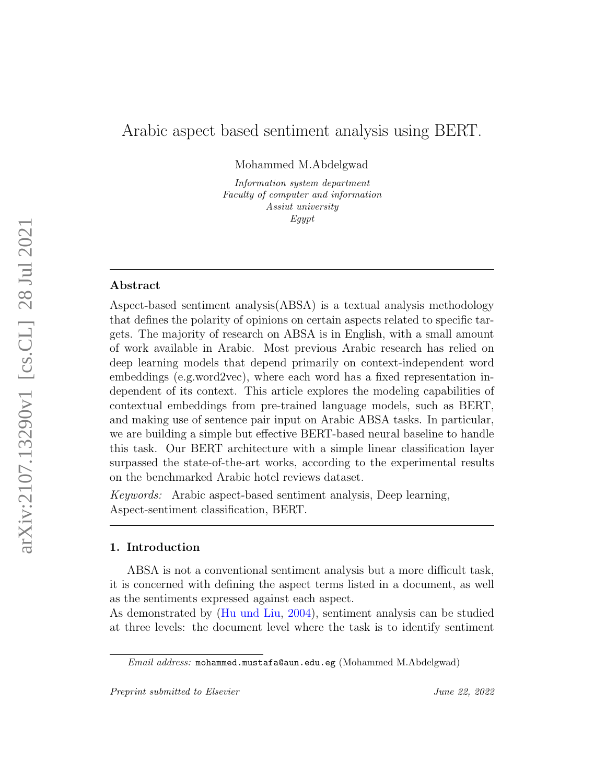# Arabic aspect based sentiment analysis using BERT.

Mohammed M.Abdelgwad

Information system department Faculty of computer and information Assiut university Egypt

## Abstract

Aspect-based sentiment analysis(ABSA) is a textual analysis methodology that defines the polarity of opinions on certain aspects related to specific targets. The majority of research on ABSA is in English, with a small amount of work available in Arabic. Most previous Arabic research has relied on deep learning models that depend primarily on context-independent word embeddings (e.g.word2vec), where each word has a fixed representation independent of its context. This article explores the modeling capabilities of contextual embeddings from pre-trained language models, such as BERT, and making use of sentence pair input on Arabic ABSA tasks. In particular, we are building a simple but effective BERT-based neural baseline to handle this task. Our BERT architecture with a simple linear classification layer surpassed the state-of-the-art works, according to the experimental results on the benchmarked Arabic hotel reviews dataset.

Keywords: Arabic aspect-based sentiment analysis, Deep learning, Aspect-sentiment classification, BERT.

#### 1. Introduction

ABSA is not a conventional sentiment analysis but a more difficult task, it is concerned with defining the aspect terms listed in a document, as well as the sentiments expressed against each aspect.

As demonstrated by [\(Hu und Liu,](#page-11-0) [2004\)](#page-11-0), sentiment analysis can be studied at three levels: the document level where the task is to identify sentiment

Email address: mohammed.mustafa@aun.edu.eg (Mohammed M.Abdelgwad)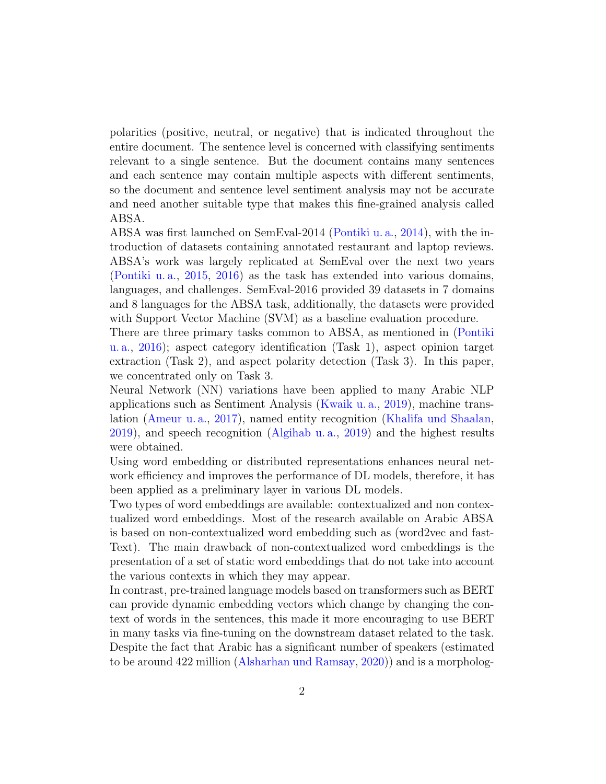polarities (positive, neutral, or negative) that is indicated throughout the entire document. The sentence level is concerned with classifying sentiments relevant to a single sentence. But the document contains many sentences and each sentence may contain multiple aspects with different sentiments, so the document and sentence level sentiment analysis may not be accurate and need another suitable type that makes this fine-grained analysis called ABSA.

ABSA was first launched on SemEval-2014 [\(Pontiki u. a.,](#page-13-0) [2014\)](#page-13-0), with the introduction of datasets containing annotated restaurant and laptop reviews. ABSA's work was largely replicated at SemEval over the next two years [\(Pontiki u. a.,](#page-13-1) [2015,](#page-13-1) [2016\)](#page-13-2) as the task has extended into various domains, languages, and challenges. SemEval-2016 provided 39 datasets in 7 domains and 8 languages for the ABSA task, additionally, the datasets were provided with Support Vector Machine (SVM) as a baseline evaluation procedure.

There are three primary tasks common to ABSA, as mentioned in [\(Pontiki](#page-13-2) [u. a.,](#page-13-2) [2016\)](#page-13-2); aspect category identification (Task 1), aspect opinion target extraction (Task 2), and aspect polarity detection (Task 3). In this paper, we concentrated only on Task 3.

Neural Network (NN) variations have been applied to many Arabic NLP applications such as Sentiment Analysis [\(Kwaik u. a.,](#page-12-0) [2019\)](#page-12-0), machine translation [\(Ameur u. a.,](#page-11-1) [2017\)](#page-11-1), named entity recognition [\(Khalifa und Shaalan,](#page-12-1) [2019\)](#page-12-1), and speech recognition [\(Algihab u. a.,](#page-11-2) [2019\)](#page-11-2) and the highest results were obtained.

Using word embedding or distributed representations enhances neural network efficiency and improves the performance of DL models, therefore, it has been applied as a preliminary layer in various DL models.

Two types of word embeddings are available: contextualized and non contextualized word embeddings. Most of the research available on Arabic ABSA is based on non-contextualized word embedding such as (word2vec and fast-Text). The main drawback of non-contextualized word embeddings is the presentation of a set of static word embeddings that do not take into account the various contexts in which they may appear.

In contrast, pre-trained language models based on transformers such as BERT can provide dynamic embedding vectors which change by changing the context of words in the sentences, this made it more encouraging to use BERT in many tasks via fine-tuning on the downstream dataset related to the task. Despite the fact that Arabic has a significant number of speakers (estimated to be around 422 million [\(Alsharhan und Ramsay,](#page-11-3) [2020\)](#page-11-3)) and is a morpholog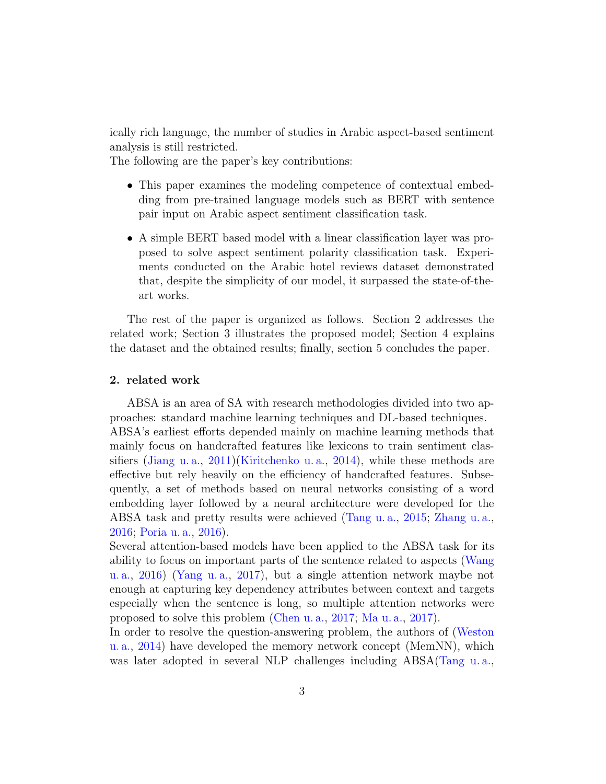ically rich language, the number of studies in Arabic aspect-based sentiment analysis is still restricted.

The following are the paper's key contributions:

- This paper examines the modeling competence of contextual embedding from pre-trained language models such as BERT with sentence pair input on Arabic aspect sentiment classification task.
- A simple BERT based model with a linear classification layer was proposed to solve aspect sentiment polarity classification task. Experiments conducted on the Arabic hotel reviews dataset demonstrated that, despite the simplicity of our model, it surpassed the state-of-theart works.

The rest of the paper is organized as follows. Section 2 addresses the related work; Section 3 illustrates the proposed model; Section 4 explains the dataset and the obtained results; finally, section 5 concludes the paper.

## 2. related work

ABSA is an area of SA with research methodologies divided into two approaches: standard machine learning techniques and DL-based techniques. ABSA's earliest efforts depended mainly on machine learning methods that mainly focus on handcrafted features like lexicons to train sentiment classifiers [\(Jiang u. a.,](#page-12-2) [2011\)](#page-12-2)[\(Kiritchenko u. a.,](#page-12-3) [2014\)](#page-12-3), while these methods are effective but rely heavily on the efficiency of handcrafted features. Subsequently, a set of methods based on neural networks consisting of a word embedding layer followed by a neural architecture were developed for the ABSA task and pretty results were achieved [\(Tang u. a.,](#page-14-0) [2015;](#page-14-0) [Zhang u. a.,](#page-15-0) [2016;](#page-15-0) [Poria u. a.,](#page-13-3) [2016\)](#page-13-3).

Several attention-based models have been applied to the ABSA task for its ability to focus on important parts of the sentence related to aspects [\(Wang](#page-14-1) [u. a.,](#page-14-1) [2016\)](#page-14-1) [\(Yang u. a.,](#page-14-2) [2017\)](#page-14-2), but a single attention network maybe not enough at capturing key dependency attributes between context and targets especially when the sentence is long, so multiple attention networks were proposed to solve this problem [\(Chen u. a.,](#page-11-4) [2017;](#page-11-4) [Ma u. a.,](#page-12-4) [2017\)](#page-12-4).

In order to resolve the question-answering problem, the authors of [\(Weston](#page-14-3) [u. a.,](#page-14-3) [2014\)](#page-14-3) have developed the memory network concept (MemNN), which was later adopted in several NLP challenges including ABSA[\(Tang u. a.,](#page-14-4)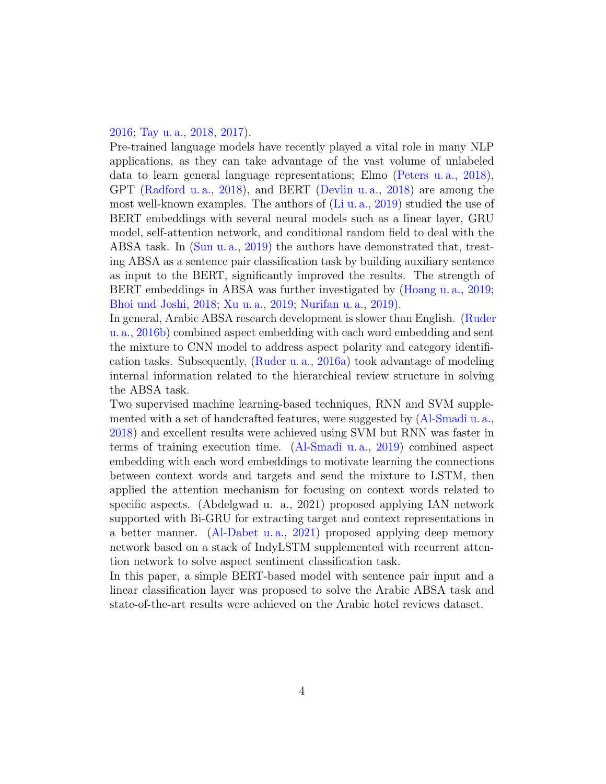# [2016;](#page-14-4) [Tay u. a.,](#page-14-5) [2018,](#page-14-5) [2017\)](#page-14-6).

Pre-trained language models have recently played a vital role in many NLP applications, as they can take advantage of the vast volume of unlabeled data to learn general language representations; Elmo [\(Peters u. a.,](#page-12-5) [2018\)](#page-12-5), GPT [\(Radford u. a.,](#page-13-4) [2018\)](#page-13-4), and BERT [\(Devlin u. a.,](#page-11-5) [2018\)](#page-11-5) are among the most well-known examples. The authors of  $(Li u. a., 2019)$  $(Li u. a., 2019)$  $(Li u. a., 2019)$  studied the use of BERT embeddings with several neural models such as a linear layer, GRU model, self-attention network, and conditional random field to deal with the ABSA task. In [\(Sun u. a.,](#page-14-7) [2019\)](#page-14-7) the authors have demonstrated that, treating ABSA as a sentence pair classification task by building auxiliary sentence as input to the BERT, significantly improved the results. The strength of BERT embeddings in ABSA was further investigated by [\(Hoang u. a.,](#page-11-6) [2019;](#page-11-6) [Bhoi und Joshi,](#page-11-7) [2018;](#page-11-7) [Xu u. a.,](#page-14-8) [2019;](#page-14-8) [Nurifan u. a.,](#page-12-7) [2019\)](#page-12-7).

In general, Arabic ABSA research development is slower than English. [\(Ruder](#page-13-5) [u. a.,](#page-13-5) [2016b\)](#page-13-5) combined aspect embedding with each word embedding and sent the mixture to CNN model to address aspect polarity and category identification tasks. Subsequently, [\(Ruder u. a.,](#page-13-6) [2016a\)](#page-13-6) took advantage of modeling internal information related to the hierarchical review structure in solving the ABSA task.

Two supervised machine learning-based techniques, RNN and SVM supplemented with a set of handcrafted features, were suggested by [\(Al-Smadi u. a.,](#page-10-0) [2018\)](#page-10-0) and excellent results were achieved using SVM but RNN was faster in terms of training execution time. [\(Al-Smadi u. a.,](#page-10-1) [2019\)](#page-10-1) combined aspect embedding with each word embeddings to motivate learning the connections between context words and targets and send the mixture to LSTM, then applied the attention mechanism for focusing on context words related to specific aspects. (Abdelgwad u. a., 2021) proposed applying IAN network supported with Bi-GRU for extracting target and context representations in a better manner. [\(Al-Dabet u. a.,](#page-10-2) [2021\)](#page-10-2) proposed applying deep memory network based on a stack of IndyLSTM supplemented with recurrent attention network to solve aspect sentiment classification task.

In this paper, a simple BERT-based model with sentence pair input and a linear classification layer was proposed to solve the Arabic ABSA task and state-of-the-art results were achieved on the Arabic hotel reviews dataset.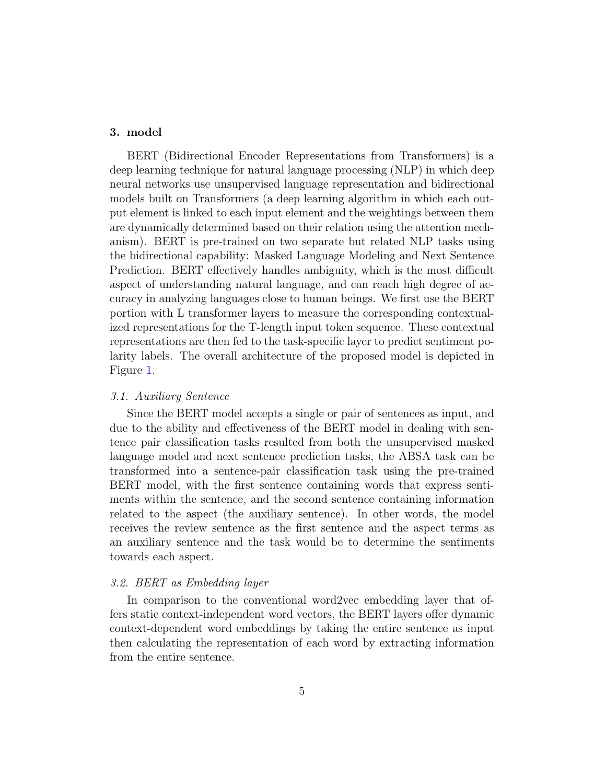# 3. model

BERT (Bidirectional Encoder Representations from Transformers) is a deep learning technique for natural language processing (NLP) in which deep neural networks use unsupervised language representation and bidirectional models built on Transformers (a deep learning algorithm in which each output element is linked to each input element and the weightings between them are dynamically determined based on their relation using the attention mechanism). BERT is pre-trained on two separate but related NLP tasks using the bidirectional capability: Masked Language Modeling and Next Sentence Prediction. BERT effectively handles ambiguity, which is the most difficult aspect of understanding natural language, and can reach high degree of accuracy in analyzing languages close to human beings. We first use the BERT portion with L transformer layers to measure the corresponding contextualized representations for the T-length input token sequence. These contextual representations are then fed to the task-specific layer to predict sentiment polarity labels. The overall architecture of the proposed model is depicted in Figure [1.](#page-5-0)

## 3.1. Auxiliary Sentence

Since the BERT model accepts a single or pair of sentences as input, and due to the ability and effectiveness of the BERT model in dealing with sentence pair classification tasks resulted from both the unsupervised masked language model and next sentence prediction tasks, the ABSA task can be transformed into a sentence-pair classification task using the pre-trained BERT model, with the first sentence containing words that express sentiments within the sentence, and the second sentence containing information related to the aspect (the auxiliary sentence). In other words, the model receives the review sentence as the first sentence and the aspect terms as an auxiliary sentence and the task would be to determine the sentiments towards each aspect.

## 3.2. BERT as Embedding layer

In comparison to the conventional word2vec embedding layer that offers static context-independent word vectors, the BERT layers offer dynamic context-dependent word embeddings by taking the entire sentence as input then calculating the representation of each word by extracting information from the entire sentence.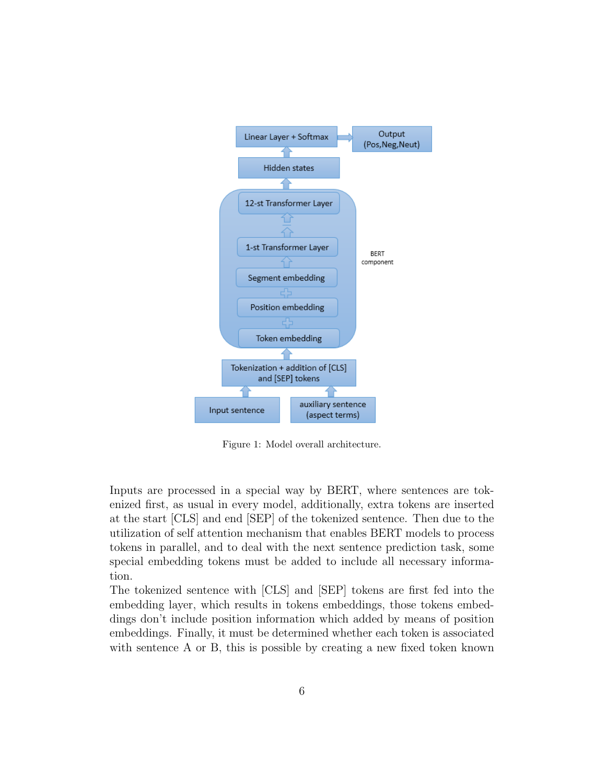

<span id="page-5-0"></span>Figure 1: Model overall architecture.

Inputs are processed in a special way by BERT, where sentences are tokenized first, as usual in every model, additionally, extra tokens are inserted at the start [CLS] and end [SEP] of the tokenized sentence. Then due to the utilization of self attention mechanism that enables BERT models to process tokens in parallel, and to deal with the next sentence prediction task, some special embedding tokens must be added to include all necessary information.

The tokenized sentence with [CLS] and [SEP] tokens are first fed into the embedding layer, which results in tokens embeddings, those tokens embeddings don't include position information which added by means of position embeddings. Finally, it must be determined whether each token is associated with sentence A or B, this is possible by creating a new fixed token known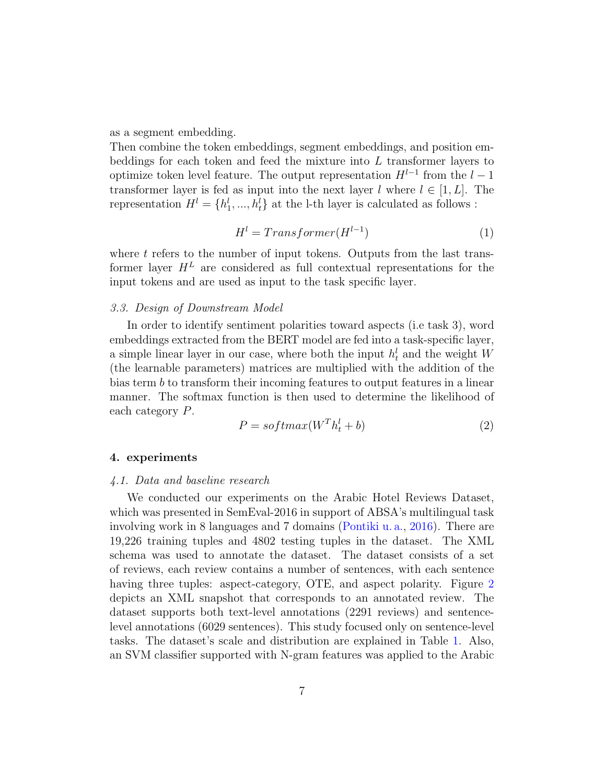as a segment embedding.

Then combine the token embeddings, segment embeddings, and position embeddings for each token and feed the mixture into  $L$  transformer layers to optimize token level feature. The output representation  $H^{l-1}$  from the  $l-1$ transformer layer is fed as input into the next layer l where  $l \in [1, L]$ . The representation  $H^l = \{h_1^l, ..., h_t^l\}$  at the l-th layer is calculated as follows :

$$
Hl = Transformer(Hl-1)
$$
\n(1)

where  $t$  refers to the number of input tokens. Outputs from the last transformer layer  $H^L$  are considered as full contextual representations for the input tokens and are used as input to the task specific layer.

## 3.3. Design of Downstream Model

In order to identify sentiment polarities toward aspects (i.e task 3), word embeddings extracted from the BERT model are fed into a task-specific layer, a simple linear layer in our case, where both the input  $h_t^l$  and the weight W (the learnable parameters) matrices are multiplied with the addition of the bias term b to transform their incoming features to output features in a linear manner. The softmax function is then used to determine the likelihood of each category P.

$$
P = softmax(W^T h_t^l + b)
$$
\n<sup>(2)</sup>

## 4. experiments

#### 4.1. Data and baseline research

We conducted our experiments on the Arabic Hotel Reviews Dataset, which was presented in SemEval-2016 in support of ABSA's multilingual task involving work in 8 languages and 7 domains [\(Pontiki u. a.,](#page-13-2) [2016\)](#page-13-2). There are 19,226 training tuples and 4802 testing tuples in the dataset. The XML schema was used to annotate the dataset. The dataset consists of a set of reviews, each review contains a number of sentences, with each sentence having three tuples: aspect-category, OTE, and aspect polarity. Figure [2](#page-7-0) depicts an XML snapshot that corresponds to an annotated review. The dataset supports both text-level annotations (2291 reviews) and sentencelevel annotations (6029 sentences). This study focused only on sentence-level tasks. The dataset's scale and distribution are explained in Table [1.](#page-7-1) Also, an SVM classifier supported with N-gram features was applied to the Arabic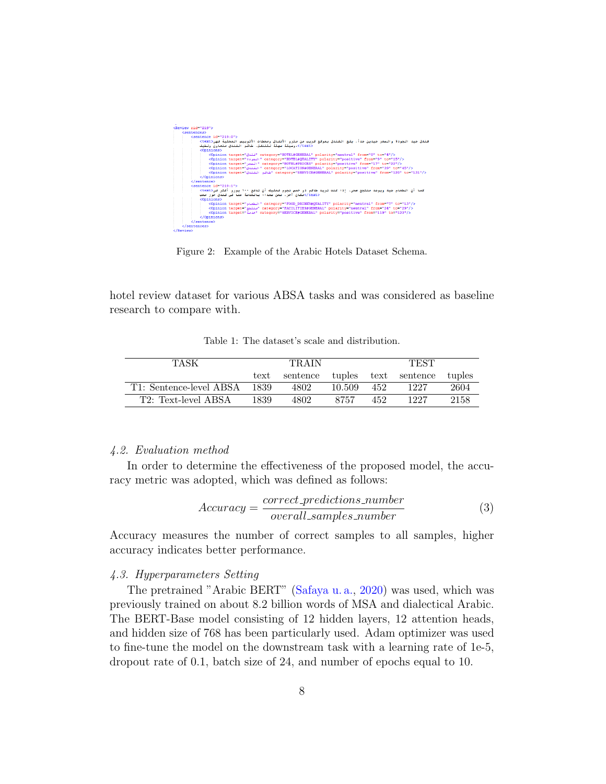

<span id="page-7-0"></span>Figure 2: Example of the Arabic Hotels Dataset Schema.

hotel review dataset for various ABSA tasks and was considered as baseline research to compare with.

<span id="page-7-1"></span>Table 1: The dataset's scale and distribution.

| TASK                    | <b>TRAIN</b> |          |        | <b>TEST</b> |                      |        |
|-------------------------|--------------|----------|--------|-------------|----------------------|--------|
|                         | text         | sentence |        |             | tuples text sentence | tuples |
| T1: Sentence-level ABSA | 1839         | 4802     | 10.509 | 452         | 1227                 | 2604   |
| T2: Text-level ABSA     | 1839         | 4802     | 8757   | 452         | 1227                 | 2158   |

#### 4.2. Evaluation method

In order to determine the effectiveness of the proposed model, the accuracy metric was adopted, which was defined as follows:

$$
Accuracy = \frac{correct\_predictions\_number}{overall\_samples\_number} \tag{3}
$$

Accuracy measures the number of correct samples to all samples, higher accuracy indicates better performance.

#### 4.3. Hyperparameters Setting

The pretrained "Arabic BERT" [\(Safaya u. a.,](#page-13-7) [2020\)](#page-13-7) was used, which was previously trained on about 8.2 billion words of MSA and dialectical Arabic. The BERT-Base model consisting of 12 hidden layers, 12 attention heads, and hidden size of 768 has been particularly used. Adam optimizer was used to fine-tune the model on the downstream task with a learning rate of 1e-5, dropout rate of 0.1, batch size of 24, and number of epochs equal to 10.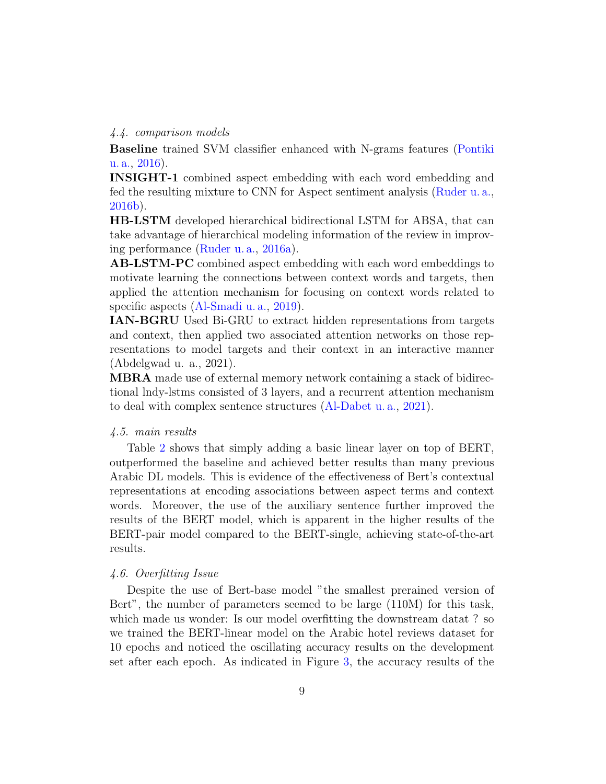#### 4.4. comparison models

Baseline trained SVM classifier enhanced with N-grams features [\(Pontiki](#page-13-2) [u. a.,](#page-13-2) [2016\)](#page-13-2).

INSIGHT-1 combined aspect embedding with each word embedding and fed the resulting mixture to CNN for Aspect sentiment analysis [\(Ruder u. a.,](#page-13-5) [2016b\)](#page-13-5).

HB-LSTM developed hierarchical bidirectional LSTM for ABSA, that can take advantage of hierarchical modeling information of the review in improving performance [\(Ruder u. a.,](#page-13-6) [2016a\)](#page-13-6).

AB-LSTM-PC combined aspect embedding with each word embeddings to motivate learning the connections between context words and targets, then applied the attention mechanism for focusing on context words related to specific aspects [\(Al-Smadi u. a.,](#page-10-1) [2019\)](#page-10-1).

IAN-BGRU Used Bi-GRU to extract hidden representations from targets and context, then applied two associated attention networks on those representations to model targets and their context in an interactive manner (Abdelgwad u. a., 2021).

MBRA made use of external memory network containing a stack of bidirectional lndy-lstms consisted of 3 layers, and a recurrent attention mechanism to deal with complex sentence structures [\(Al-Dabet u. a.,](#page-10-2) [2021\)](#page-10-2).

## 4.5. main results

Table [2](#page-9-0) shows that simply adding a basic linear layer on top of BERT, outperformed the baseline and achieved better results than many previous Arabic DL models. This is evidence of the effectiveness of Bert's contextual representations at encoding associations between aspect terms and context words. Moreover, the use of the auxiliary sentence further improved the results of the BERT model, which is apparent in the higher results of the BERT-pair model compared to the BERT-single, achieving state-of-the-art results.

#### 4.6. Overfitting Issue

Despite the use of Bert-base model "the smallest prerained version of Bert", the number of parameters seemed to be large (110M) for this task, which made us wonder: Is our model overfitting the downstream datat? so we trained the BERT-linear model on the Arabic hotel reviews dataset for 10 epochs and noticed the oscillating accuracy results on the development set after each epoch. As indicated in Figure [3,](#page-9-1) the accuracy results of the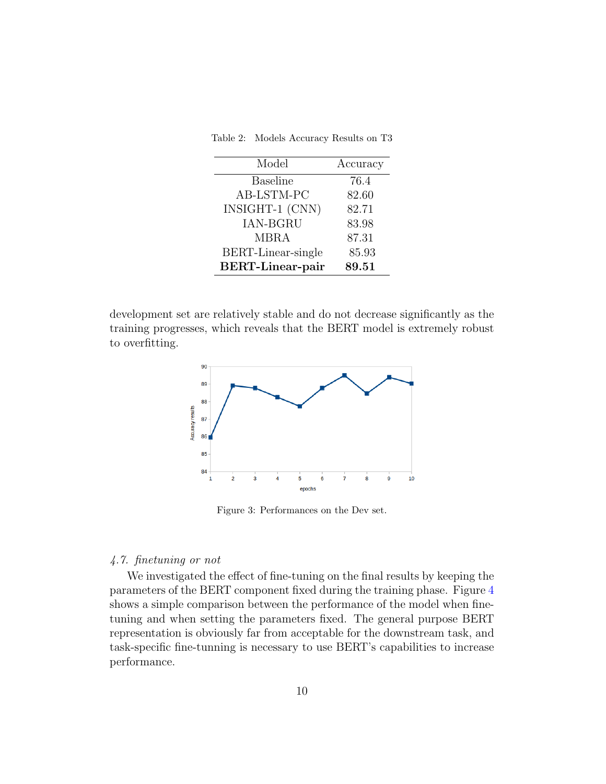<span id="page-9-0"></span>Table 2: Models Accuracy Results on T3

| Model                   | Accuracy |
|-------------------------|----------|
| <b>Baseline</b>         | 76.4     |
| AB-LSTM-PC              | 82.60    |
| INSIGHT-1 (CNN)         | 82.71    |
| <b>IAN-BGRU</b>         | 83.98    |
| <b>MBRA</b>             | 87.31    |
| BERT-Linear-single      | 85.93    |
| <b>BERT-Linear-pair</b> | 89.51    |

development set are relatively stable and do not decrease significantly as the training progresses, which reveals that the BERT model is extremely robust to overfitting.



<span id="page-9-1"></span>Figure 3: Performances on the Dev set.

## 4.7. finetuning or not

We investigated the effect of fine-tuning on the final results by keeping the parameters of the BERT component fixed during the training phase. Figure [4](#page-10-3) shows a simple comparison between the performance of the model when finetuning and when setting the parameters fixed. The general purpose BERT representation is obviously far from acceptable for the downstream task, and task-specific fine-tunning is necessary to use BERT's capabilities to increase performance.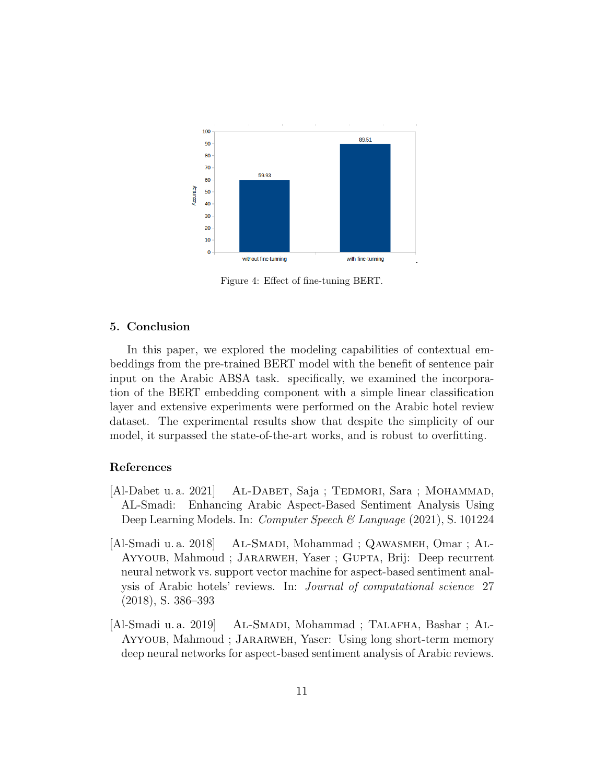

<span id="page-10-3"></span>Figure 4: Effect of fine-tuning BERT.

## 5. Conclusion

In this paper, we explored the modeling capabilities of contextual embeddings from the pre-trained BERT model with the benefit of sentence pair input on the Arabic ABSA task. specifically, we examined the incorporation of the BERT embedding component with a simple linear classification layer and extensive experiments were performed on the Arabic hotel review dataset. The experimental results show that despite the simplicity of our model, it surpassed the state-of-the-art works, and is robust to overfitting.

## References

- <span id="page-10-2"></span>[Al-Dabet u. a. 2021] AL-DABET, Saja; TEDMORI, Sara; MOHAMMAD, AL-Smadi: Enhancing Arabic Aspect-Based Sentiment Analysis Using Deep Learning Models. In: *Computer Speech & Language* (2021), S. 101224
- <span id="page-10-0"></span>[Al-Smadi u. a. 2018] AL-SMADI, Mohammad; QAWASMEH, Omar; AL-Ayyoub, Mahmoud ; Jararweh, Yaser ; Gupta, Brij: Deep recurrent neural network vs. support vector machine for aspect-based sentiment analysis of Arabic hotels' reviews. In: Journal of computational science 27 (2018), S. 386–393
- <span id="page-10-1"></span>[Al-Smadi u. a. 2019] Al-Smadi, Mohammad ; Talafha, Bashar ; Al-Ayyoub, Mahmoud ; Jararweh, Yaser: Using long short-term memory deep neural networks for aspect-based sentiment analysis of Arabic reviews.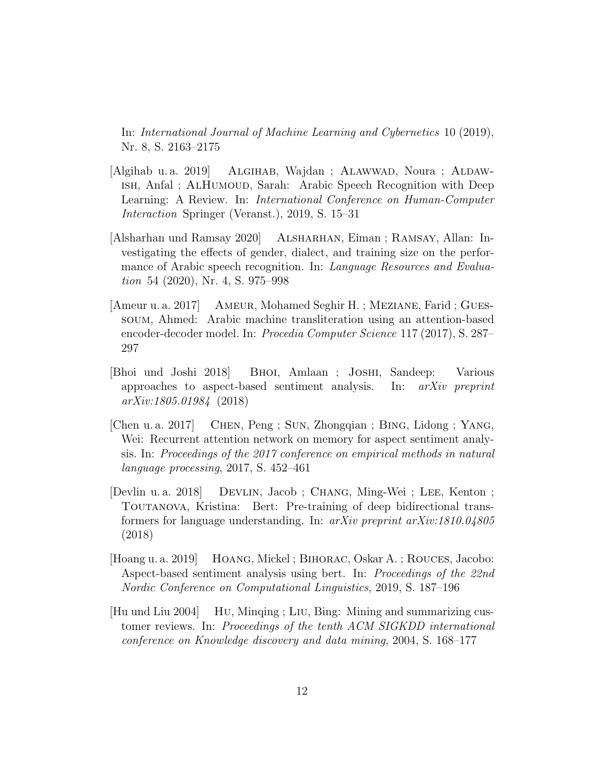In: International Journal of Machine Learning and Cybernetics 10 (2019), Nr. 8, S. 2163–2175

- <span id="page-11-2"></span>[Algihab u. a. 2019] ALGIHAB, Wajdan; ALAWWAD, Noura; ALDAWish, Anfal ; AlHumoud, Sarah: Arabic Speech Recognition with Deep Learning: A Review. In: International Conference on Human-Computer Interaction Springer (Veranst.), 2019, S. 15–31
- <span id="page-11-3"></span>[Alsharhan und Ramsay 2020] Alsharhan, Eiman ; Ramsay, Allan: Investigating the effects of gender, dialect, and training size on the performance of Arabic speech recognition. In: Language Resources and Evaluation 54 (2020), Nr. 4, S. 975–998
- <span id="page-11-1"></span>[Ameur u. a. 2017] Ameur, Mohamed Seghir H. ; Meziane, Farid ; Guessoum, Ahmed: Arabic machine transliteration using an attention-based encoder-decoder model. In: Procedia Computer Science 117 (2017), S. 287– 297
- <span id="page-11-7"></span>[Bhoi und Joshi 2018] Bhoi, Amlaan ; Joshi, Sandeep: Various approaches to aspect-based sentiment analysis. In: arXiv preprint arXiv:1805.01984 (2018)
- <span id="page-11-4"></span>[Chen u. a. 2017] Chen, Peng ; Sun, Zhongqian ; Bing, Lidong ; Yang, Wei: Recurrent attention network on memory for aspect sentiment analysis. In: Proceedings of the 2017 conference on empirical methods in natural language processing, 2017, S. 452–461
- <span id="page-11-5"></span>[Devlin u. a. 2018] Devlin, Jacob ; Chang, Ming-Wei ; Lee, Kenton ; Toutanova, Kristina: Bert: Pre-training of deep bidirectional transformers for language understanding. In: arXiv preprint arXiv:1810.04805 (2018)
- <span id="page-11-6"></span>[Hoang u. a. 2019] Hoang, Mickel ; Bihorac, Oskar A. ; Rouces, Jacobo: Aspect-based sentiment analysis using bert. In: Proceedings of the 22nd Nordic Conference on Computational Linguistics, 2019, S. 187–196
- <span id="page-11-0"></span>[Hu und Liu 2004] Hu, Minqing ; Liu, Bing: Mining and summarizing customer reviews. In: Proceedings of the tenth ACM SIGKDD international conference on Knowledge discovery and data mining, 2004, S. 168–177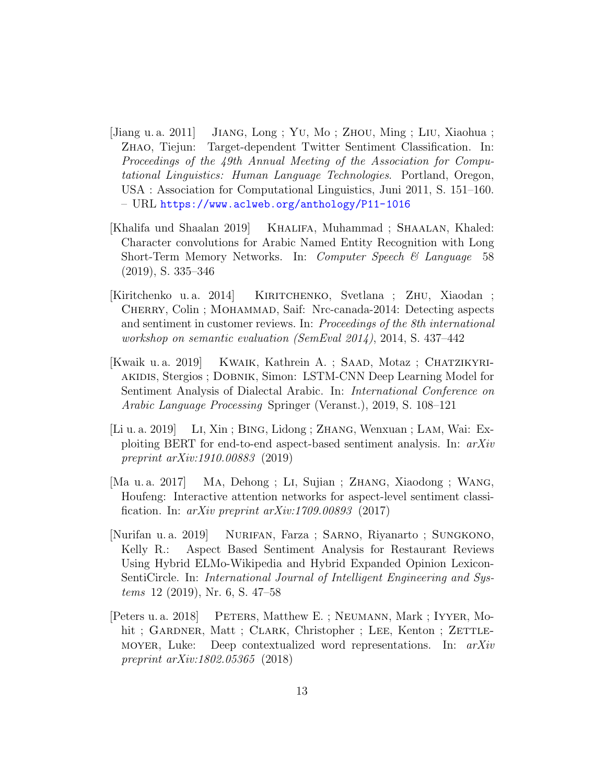- <span id="page-12-2"></span>[Jiang u. a. 2011] Jiang, Long ; Yu, Mo ; Zhou, Ming ; Liu, Xiaohua ; Zhao, Tiejun: Target-dependent Twitter Sentiment Classification. In: Proceedings of the 49th Annual Meeting of the Association for Computational Linguistics: Human Language Technologies. Portland, Oregon, USA : Association for Computational Linguistics, Juni 2011, S. 151–160. – URL <https://www.aclweb.org/anthology/P11-1016>
- <span id="page-12-1"></span>[Khalifa und Shaalan 2019] KHALIFA, Muhammad; SHAALAN, Khaled: Character convolutions for Arabic Named Entity Recognition with Long Short-Term Memory Networks. In: *Computer Speech & Language* 58 (2019), S. 335–346
- <span id="page-12-3"></span>[Kiritchenko u. a. 2014] Kiritchenko, Svetlana ; Zhu, Xiaodan ; CHERRY, Colin; MOHAMMAD, Saif: Nrc-canada-2014: Detecting aspects and sentiment in customer reviews. In: Proceedings of the 8th international workshop on semantic evaluation (SemEval 2014), 2014, S. 437–442
- <span id="page-12-0"></span>[Kwaik u. a. 2019] Kwaik, Kathrein A. ; Saad, Motaz ; Chatzikyriakidis, Stergios ; Dobnik, Simon: LSTM-CNN Deep Learning Model for Sentiment Analysis of Dialectal Arabic. In: International Conference on Arabic Language Processing Springer (Veranst.), 2019, S. 108–121
- <span id="page-12-6"></span>[Li u. a. 2019] Li, Xin ; Bing, Lidong ; Zhang, Wenxuan ; Lam, Wai: Exploiting BERT for end-to-end aspect-based sentiment analysis. In: arXiv preprint arXiv:1910.00883 (2019)
- <span id="page-12-4"></span>[Ma u. a. 2017] Ma, Dehong ; Li, Sujian ; Zhang, Xiaodong ; Wang, Houfeng: Interactive attention networks for aspect-level sentiment classification. In:  $arXiv$  preprint  $arXiv:1709.00893$  (2017)
- <span id="page-12-7"></span>[Nurifan u. a. 2019] Nurifan, Farza ; Sarno, Riyanarto ; Sungkono, Kelly R.: Aspect Based Sentiment Analysis for Restaurant Reviews Using Hybrid ELMo-Wikipedia and Hybrid Expanded Opinion Lexicon-SentiCircle. In: International Journal of Intelligent Engineering and Systems 12 (2019), Nr. 6, S. 47–58
- <span id="page-12-5"></span>[Peters u. a. 2018] PETERS, Matthew E. ; NEUMANN, Mark ; IYYER, Mohit; GARDNER, Matt; CLARK, Christopher; LEE, Kenton; ZETTLEmoyer, Luke: Deep contextualized word representations. In: arXiv preprint arXiv:1802.05365 (2018)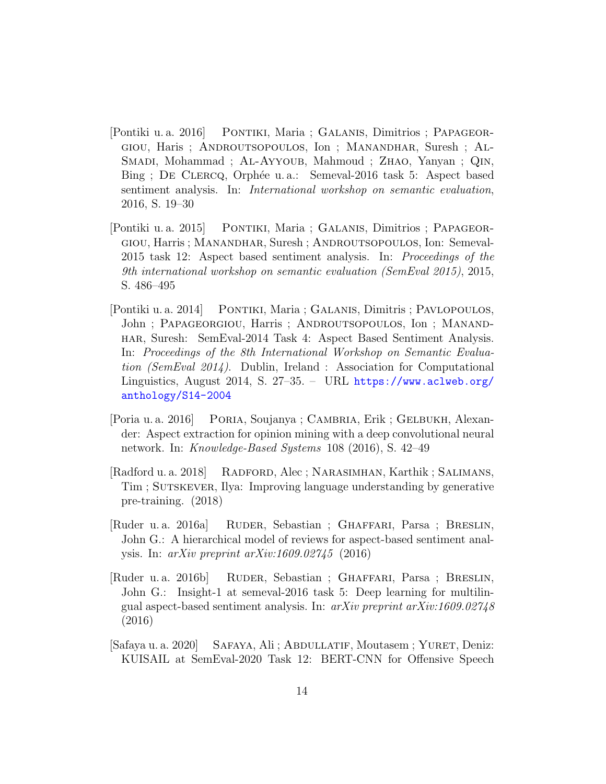- <span id="page-13-2"></span>[Pontiki u. a. 2016] Pontiki, Maria ; Galanis, Dimitrios ; Papageorgiou, Haris ; Androutsopoulos, Ion ; Manandhar, Suresh ; Al-SMADI, Mohammad ; AL-AYYOUB, Mahmoud ; ZHAO, Yanyan ; QIN, Bing ; DE CLERCQ, Orphée u. a.: Semeval-2016 task 5: Aspect based sentiment analysis. In: International workshop on semantic evaluation, 2016, S. 19–30
- <span id="page-13-1"></span>[Pontiki u. a. 2015] PONTIKI, Maria ; GALANIS, Dimitrios ; PAPAGEORgiou, Harris ; Manandhar, Suresh ; Androutsopoulos, Ion: Semeval-2015 task 12: Aspect based sentiment analysis. In: Proceedings of the 9th international workshop on semantic evaluation (SemEval 2015), 2015, S. 486–495
- <span id="page-13-0"></span>[Pontiki u. a. 2014] Pontiki, Maria ; Galanis, Dimitris ; Pavlopoulos, John ; PAPAGEORGIOU, Harris ; ANDROUTSOPOULOS, Ion ; MANANDhar, Suresh: SemEval-2014 Task 4: Aspect Based Sentiment Analysis. In: Proceedings of the 8th International Workshop on Semantic Evaluation (SemEval 2014). Dublin, Ireland : Association for Computational Linguistics, August 2014, S. 27–35. – URL [https://www.aclweb.org/](https://www.aclweb.org/anthology/S14-2004) [anthology/S14-2004](https://www.aclweb.org/anthology/S14-2004)
- <span id="page-13-3"></span>[Poria u. a. 2016] Poria, Soujanya ; Cambria, Erik ; Gelbukh, Alexander: Aspect extraction for opinion mining with a deep convolutional neural network. In: Knowledge-Based Systems 108 (2016), S. 42–49
- <span id="page-13-4"></span>[Radford u. a. 2018] Radford, Alec ; Narasimhan, Karthik ; Salimans, Tim; SUTSKEVER, Ilya: Improving language understanding by generative pre-training. (2018)
- <span id="page-13-6"></span>[Ruder u. a. 2016a] Ruder, Sebastian ; Ghaffari, Parsa ; Breslin, John G.: A hierarchical model of reviews for aspect-based sentiment analysis. In:  $arXiv$  preprint  $arXiv:1609.02745$  (2016)
- <span id="page-13-5"></span>[Ruder u. a. 2016b] Ruder, Sebastian ; Ghaffari, Parsa ; Breslin, John G.: Insight-1 at semeval-2016 task 5: Deep learning for multilingual aspect-based sentiment analysis. In: arXiv preprint arXiv:1609.02748 (2016)
- <span id="page-13-7"></span>[Safaya u. a. 2020] Safaya, Ali ; Abdullatif, Moutasem ; Yuret, Deniz: KUISAIL at SemEval-2020 Task 12: BERT-CNN for Offensive Speech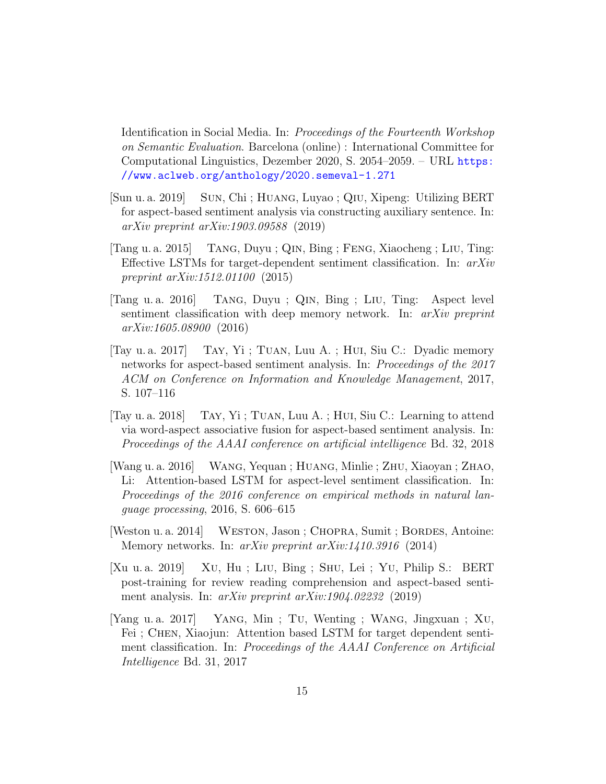Identification in Social Media. In: Proceedings of the Fourteenth Workshop on Semantic Evaluation. Barcelona (online) : International Committee for Computational Linguistics, Dezember 2020, S. 2054–2059. – URL [https:](https://www.aclweb.org/anthology/2020.semeval-1.271) [//www.aclweb.org/anthology/2020.semeval-1.271](https://www.aclweb.org/anthology/2020.semeval-1.271)

- <span id="page-14-7"></span>[Sun u. a. 2019] Sun, Chi ; Huang, Luyao ; Qiu, Xipeng: Utilizing BERT for aspect-based sentiment analysis via constructing auxiliary sentence. In: arXiv preprint arXiv:1903.09588 (2019)
- <span id="page-14-0"></span>[Tang u. a. 2015] Tang, Duyu ; Qin, Bing ; Feng, Xiaocheng ; Liu, Ting: Effective LSTMs for target-dependent sentiment classification. In:  $arXiv$ preprint arXiv:1512.01100 (2015)
- <span id="page-14-4"></span>[Tang u. a. 2016] Tang, Duyu ; Qin, Bing ; Liu, Ting: Aspect level sentiment classification with deep memory network. In: *arXiv preprint* arXiv:1605.08900 (2016)
- <span id="page-14-6"></span>[Tay u. a. 2017] Tay, Yi ; Tuan, Luu A. ; Hui, Siu C.: Dyadic memory networks for aspect-based sentiment analysis. In: Proceedings of the 2017 ACM on Conference on Information and Knowledge Management, 2017, S. 107–116
- <span id="page-14-5"></span>[Tay u. a. 2018] Tay, Yi ; Tuan, Luu A. ; Hui, Siu C.: Learning to attend via word-aspect associative fusion for aspect-based sentiment analysis. In: Proceedings of the AAAI conference on artificial intelligence Bd. 32, 2018
- <span id="page-14-1"></span>[Wang u. a. 2016] Wang, Yequan ; Huang, Minlie ; Zhu, Xiaoyan ; Zhao, Li: Attention-based LSTM for aspect-level sentiment classification. In: Proceedings of the 2016 conference on empirical methods in natural language processing, 2016, S. 606–615
- <span id="page-14-3"></span>[Weston u. a. 2014] WESTON, Jason; CHOPRA, Sumit; BORDES, Antoine: Memory networks. In: arXiv preprint arXiv:1410.3916 (2014)
- <span id="page-14-8"></span>[Xu u. a. 2019] Xu, Hu ; Liu, Bing ; Shu, Lei ; Yu, Philip S.: BERT post-training for review reading comprehension and aspect-based sentiment analysis. In:  $arXiv$  preprint  $arXiv:1904.02232$  (2019)
- <span id="page-14-2"></span>[Yang u. a. 2017] Yang, Min ; Tu, Wenting ; Wang, Jingxuan ; Xu, Fei; CHEN, Xiaojun: Attention based LSTM for target dependent sentiment classification. In: Proceedings of the AAAI Conference on Artificial Intelligence Bd. 31, 2017